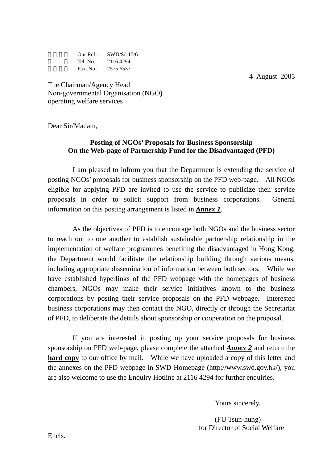|            | Our Ref.: $SWD/S/115/6$ |
|------------|-------------------------|
| Tel. No.:- | 21164294                |
| Fax. No.:  | 2575 6537               |

4 August 2005

The Chairman/Agency Head Non-governmental Organisation (NGO) operating welfare services

Dear Sir/Madam,

# **Posting of NGOs' Proposals for Business Sponsorship On the Web-page of Partnership Fund for the Disadvantaged (PFD)**

I am pleased to inform you that the Department is extending the service of posting NGOs' proposals for business sponsorship on the PFD web-page. All NGOs eligible for applying PFD are invited to use the service to publicize their service proposals in order to solicit support from business corporations. General information on this posting arrangement is listed in *Annex 1*.

As the objectives of PFD is to encourage both NGOs and the business sector to reach out to one another to establish sustainable partnership relationship in the implementation of welfare programmes benefiting the disadvantaged in Hong Kong, the Department would facilitate the relationship building through various means, including appropriate dissemination of information between both sectors. While we have established hyperlinks of the PFD webpage with the homepages of business chambers, NGOs may make their service initiatives known to the business corporations by posting their service proposals on the PFD webpage. Interested business corporations may then contact the NGO, directly or through the Secretariat of PFD, to deliberate the details about sponsorship or cooperation on the proposal.

If you are interested in posting up your service proposals for business sponsorship on PFD web-page, please complete the attached *Annex 2* and return the **hard copy** to our office by mail. While we have uploaded a copy of this letter and the annexes on the PFD webpage in SWD Homepage (http://www.swd.gov.hk/), you are also welcome to use the Enquiry Hotline at 2116 4294 for further enquiries.

Yours sincerely,

 (FU Tsun-hung) for Director of Social Welfare

Encls.